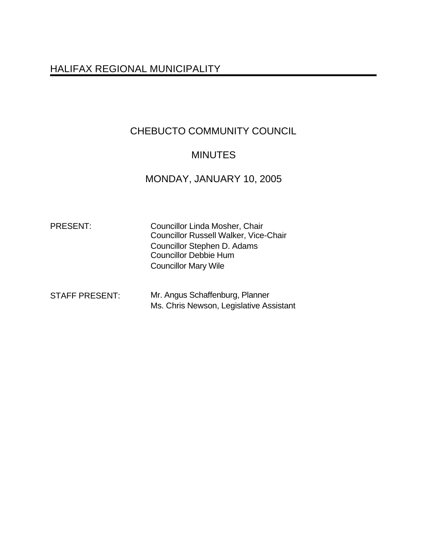# HALIFAX REGIONAL MUNICIPALITY

# CHEBUCTO COMMUNITY COUNCIL

## MINUTES

# MONDAY, JANUARY 10, 2005

| <b>PRESENT:</b> | <b>Councillor Linda Mosher, Chair</b><br><b>Councillor Russell Walker, Vice-Chair</b> |
|-----------------|---------------------------------------------------------------------------------------|
|                 | Councillor Stephen D. Adams<br><b>Councillor Debbie Hum</b>                           |
|                 | <b>Councillor Mary Wile</b>                                                           |

| <b>STAFF PRESENT:</b> | Mr. Angus Schaffenburg, Planner         |  |
|-----------------------|-----------------------------------------|--|
|                       | Ms. Chris Newson, Legislative Assistant |  |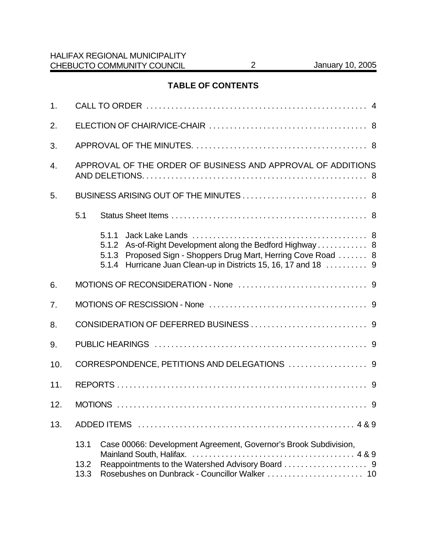## **TABLE OF CONTENTS**

| 1.               |                                                                                                                                                                                                                  |  |  |  |
|------------------|------------------------------------------------------------------------------------------------------------------------------------------------------------------------------------------------------------------|--|--|--|
| 2.               |                                                                                                                                                                                                                  |  |  |  |
| 3.               |                                                                                                                                                                                                                  |  |  |  |
| $\overline{4}$ . | APPROVAL OF THE ORDER OF BUSINESS AND APPROVAL OF ADDITIONS                                                                                                                                                      |  |  |  |
| 5.               |                                                                                                                                                                                                                  |  |  |  |
|                  | 5.1                                                                                                                                                                                                              |  |  |  |
|                  | 5.1.1<br>As-of-Right Development along the Bedford Highway 8<br>5.1.2<br>Proposed Sign - Shoppers Drug Mart, Herring Cove Road  8<br>5.1.3<br>Hurricane Juan Clean-up in Districts 15, 16, 17 and 18  9<br>5.1.4 |  |  |  |
| 6.               |                                                                                                                                                                                                                  |  |  |  |
| 7 <sub>1</sub>   |                                                                                                                                                                                                                  |  |  |  |
| 8.               |                                                                                                                                                                                                                  |  |  |  |
| 9.               |                                                                                                                                                                                                                  |  |  |  |
| 10.              | CORRESPONDENCE, PETITIONS AND DELEGATIONS  9                                                                                                                                                                     |  |  |  |
| 11.              |                                                                                                                                                                                                                  |  |  |  |
| 12.              |                                                                                                                                                                                                                  |  |  |  |
| 13.              |                                                                                                                                                                                                                  |  |  |  |
|                  | 13.1<br>Case 00066: Development Agreement, Governor's Brook Subdivision,<br>13.2<br>13.3                                                                                                                         |  |  |  |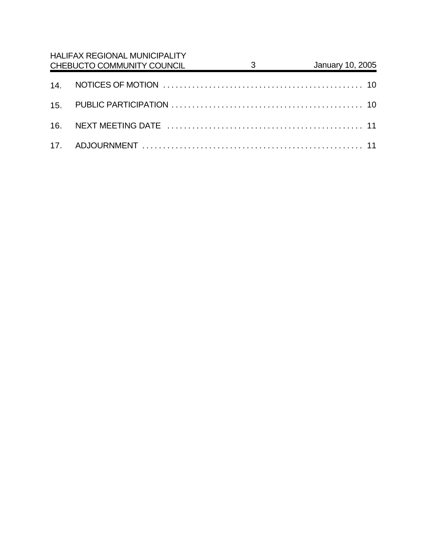| <b>HALIFAX REGIONAL MUNICIPALITY</b><br>CHEBUCTO COMMUNITY COUNCIL | $\overline{\mathbf{3}}$ | January 10, 2005 |
|--------------------------------------------------------------------|-------------------------|------------------|
|                                                                    |                         |                  |
|                                                                    |                         |                  |
|                                                                    |                         |                  |
|                                                                    |                         |                  |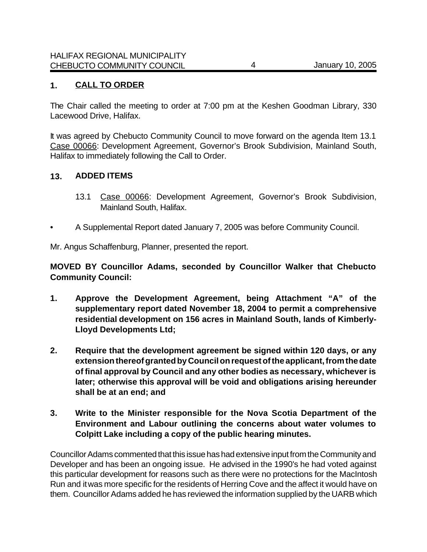## **1. CALL TO ORDER**

The Chair called the meeting to order at 7:00 pm at the Keshen Goodman Library, 330 Lacewood Drive, Halifax.

It was agreed by Chebucto Community Council to move forward on the agenda Item 13.1 Case 00066: Development Agreement, Governor's Brook Subdivision, Mainland South, Halifax to immediately following the Call to Order.

#### **13. ADDED ITEMS**

- 13.1 Case 00066: Development Agreement, Governor's Brook Subdivision, Mainland South, Halifax.
- A Supplemental Report dated January 7, 2005 was before Community Council.

Mr. Angus Schaffenburg, Planner, presented the report.

**MOVED BY Councillor Adams, seconded by Councillor Walker that Chebucto Community Council:**

- **1. Approve the Development Agreement, being Attachment "A" of the supplementary report dated November 18, 2004 to permit a comprehensive residential development on 156 acres in Mainland South, lands of Kimberly-Lloyd Developments Ltd;**
- **2. Require that the development agreement be signed within 120 days, or any extension thereof granted by Council on request of the applicant, from the date of final approval by Council and any other bodies as necessary, whichever is later; otherwise this approval will be void and obligations arising hereunder shall be at an end; and**
- **3. Write to the Minister responsible for the Nova Scotia Department of the Environment and Labour outlining the concerns about water volumes to Colpitt Lake including a copy of the public hearing minutes.**

Councillor Adams commented that this issue has had extensive input from the Community and Developer and has been an ongoing issue. He advised in the 1990's he had voted against this particular development for reasons such as there were no protections for the MacIntosh Run and it was more specific for the residents of Herring Cove and the affect it would have on them. Councillor Adams added he has reviewed the information supplied by the UARB which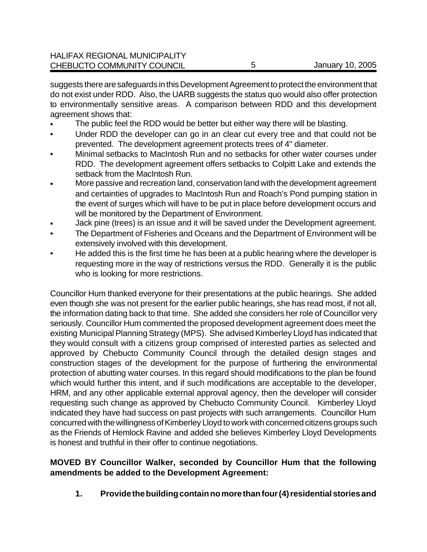| CHEBUCTO COMMUNITY COUNCIL           | January 10, 2005 |
|--------------------------------------|------------------|
|                                      |                  |
| <b>HALIFAX REGIONAL MUNICIPALITY</b> |                  |

suggests there are safeguards in this Development Agreement to protect the environment that do not exist under RDD. Also, the UARB suggests the status quo would also offer protection to environmentally sensitive areas. A comparison between RDD and this development agreement shows that:

- The public feel the RDD would be better but either way there will be blasting.
- Under RDD the developer can go in an clear cut every tree and that could not be prevented. The development agreement protects trees of 4" diameter.
- Minimal setbacks to MacIntosh Run and no setbacks for other water courses under RDD. The development agreement offers setbacks to Colpitt Lake and extends the setback from the MacIntosh Run.
- More passive and recreation land, conservation land with the development agreement and certainties of upgrades to MacIntosh Run and Roach's Pond pumping station in the event of surges which will have to be put in place before development occurs and will be monitored by the Department of Environment.
- Jack pine (trees) is an issue and it will be saved under the Development agreement.
- The Department of Fisheries and Oceans and the Department of Environment will be extensively involved with this development.
- He added this is the first time he has been at a public hearing where the developer is requesting more in the way of restrictions versus the RDD. Generally it is the public who is looking for more restrictions.

Councillor Hum thanked everyone for their presentations at the public hearings. She added even though she was not present for the earlier public hearings, she has read most, if not all, the information dating back to that time. She added she considers her role of Councillor very seriously. Councillor Hum commented the proposed development agreement does meet the existing Municipal Planning Strategy (MPS). She advised Kimberley Lloyd has indicated that they would consult with a citizens group comprised of interested parties as selected and approved by Chebucto Community Council through the detailed design stages and construction stages of the development for the purpose of furthering the environmental protection of abutting water courses. In this regard should modifications to the plan be found which would further this intent, and if such modifications are acceptable to the developer, HRM, and any other applicable external approval agency, then the developer will consider requesting such change as approved by Chebucto Community Council. Kimberley Lloyd indicated they have had success on past projects with such arrangements. Councillor Hum concurred with the willingness of Kimberley Lloyd to work with concerned citizens groups such as the Friends of Hemlock Ravine and added she believes Kimberley Lloyd Developments is honest and truthful in their offer to continue negotiations.

## **MOVED BY Councillor Walker, seconded by Councillor Hum that the following amendments be added to the Development Agreement:**

**1. Providethe building contain no more than four (4) residential storiesand**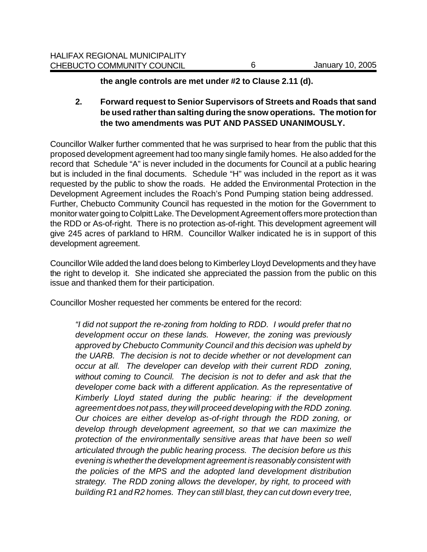**the angle controls are met under #2 to Clause 2.11 (d).**

**2. Forward request to Senior Supervisors of Streets and Roads that sand be used rather than salting during the snow operations. The motion for the two amendments was PUT AND PASSED UNANIMOUSLY.**

Councillor Walker further commented that he was surprised to hear from the public that this proposed development agreement had too many single family homes. He also added for the record that Schedule "A" is never included in the documents for Council at a public hearing but is included in the final documents. Schedule "H" was included in the report as it was requested by the public to show the roads. He added the Environmental Protection in the Development Agreement includes the Roach's Pond Pumping station being addressed. Further, Chebucto Community Council has requested in the motion for the Government to monitor water going to Colpitt Lake. The Development Agreement offers more protection than the RDD or As-of-right. There is no protection as-of-right. This development agreement will give 245 acres of parkland to HRM. Councillor Walker indicated he is in support of this development agreement.

Councillor Wile added the land does belong to Kimberley Lloyd Developments and they have the right to develop it. She indicated she appreciated the passion from the public on this issue and thanked them for their participation.

Councillor Mosher requested her comments be entered for the record:

*"I did not support the re-zoning from holding to RDD. I would prefer that no development occur on these lands. However, the zoning was previously approved by Chebucto Community Council and this decision was upheld by the UARB. The decision is not to decide whether or not development can occur at all. The developer can develop with their current RDD zoning, without coming to Council. The decision is not to defer and ask that the developer come back with a different application. As the representative of Kimberly Lloyd stated during the public hearing: if the development agreement does not pass, they will proceed developing with the RDD zoning. Our choices are either develop as-of-right through the RDD zoning, or develop through development agreement, so that we can maximize the protection of the environmentally sensitive areas that have been so well articulated through the public hearing process. The decision before us this evening is whether the development agreement is reasonably consistent with the policies of the MPS and the adopted land development distribution strategy. The RDD zoning allows the developer, by right, to proceed with building R1 and R2 homes. They can still blast, they can cut down every tree,*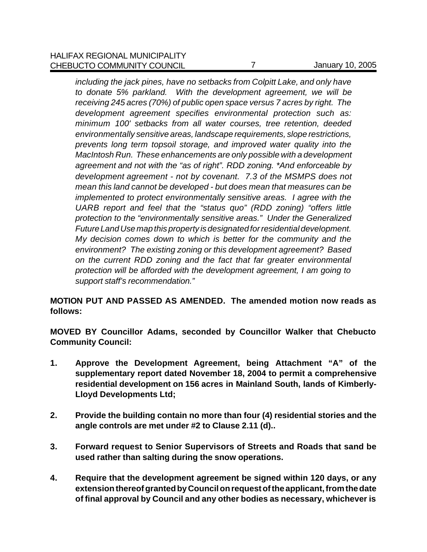*including the jack pines, have no setbacks from Colpitt Lake, and only have to donate 5% parkland. With the development agreement, we will be receiving 245 acres (70%) of public open space versus 7 acres by right. The development agreement specifies environmental protection such as: minimum 100' setbacks from all water courses, tree retention, deeded environmentally sensitive areas, landscape requirements, slope restrictions, prevents long term topsoil storage, and improved water quality into the MacIntosh Run. These enhancements are only possible with a development agreement and not with the "as of right". RDD zoning. \*And enforceable by development agreement - not by covenant. 7.3 of the MSMPS does not mean this land cannot be developed - but does mean that measures can be implemented to protect environmentally sensitive areas. I agree with the UARB report and feel that the "status quo" (RDD zoning) "offers little protection to the "environmentally sensitive areas." Under the Generalized Future Land Use map this property is designated for residential development. My decision comes down to which is better for the community and the environment? The existing zoning or this development agreement? Based on the current RDD zoning and the fact that far greater environmental protection will be afforded with the development agreement, I am going to support staff's recommendation."* 

## **MOTION PUT AND PASSED AS AMENDED. The amended motion now reads as follows:**

**MOVED BY Councillor Adams, seconded by Councillor Walker that Chebucto Community Council:**

- **1. Approve the Development Agreement, being Attachment "A" of the supplementary report dated November 18, 2004 to permit a comprehensive residential development on 156 acres in Mainland South, lands of Kimberly-Lloyd Developments Ltd;**
- **2. Provide the building contain no more than four (4) residential stories and the angle controls are met under #2 to Clause 2.11 (d)..**
- **3. Forward request to Senior Supervisors of Streets and Roads that sand be used rather than salting during the snow operations.**
- **4. Require that the development agreement be signed within 120 days, or any extension thereof granted by Council on request of the applicant, from the date of final approval by Council and any other bodies as necessary, whichever is**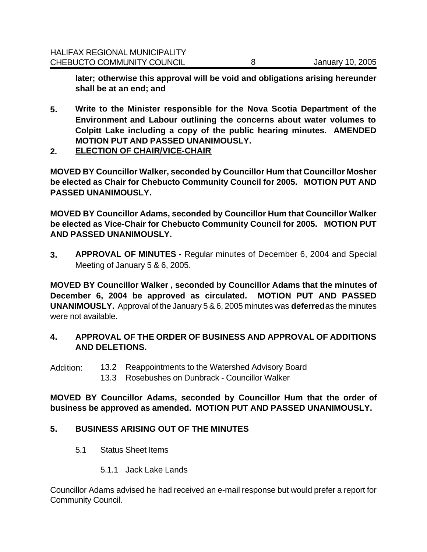**later; otherwise this approval will be void and obligations arising hereunder shall be at an end; and** 

- **5. Write to the Minister responsible for the Nova Scotia Department of the Environment and Labour outlining the concerns about water volumes to Colpitt Lake including a copy of the public hearing minutes. AMENDED MOTION PUT AND PASSED UNANIMOUSLY.**
- **2. ELECTION OF CHAIR/VICE-CHAIR**

**MOVED BY Councillor Walker, seconded by Councillor Hum that Councillor Mosher be elected as Chair for Chebucto Community Council for 2005. MOTION PUT AND PASSED UNANIMOUSLY.**

**MOVED BY Councillor Adams, seconded by Councillor Hum that Councillor Walker be elected as Vice-Chair for Chebucto Community Council for 2005. MOTION PUT AND PASSED UNANIMOUSLY.**

**3. APPROVAL OF MINUTES -** Regular minutes of December 6, 2004 and Special Meeting of January 5 & 6, 2005.

**MOVED BY Councillor Walker , seconded by Councillor Adams that the minutes of December 6, 2004 be approved as circulated. MOTION PUT AND PASSED UNANIMOUSLY.** Approval of the January 5 & 6, 2005 minutes was **deferred** as the minutes were not available.

## **4. APPROVAL OF THE ORDER OF BUSINESS AND APPROVAL OF ADDITIONS AND DELETIONS.**

- Addition: 13.2 Reappointments to the Watershed Advisory Board
	- 13.3 Rosebushes on Dunbrack Councillor Walker

**MOVED BY Councillor Adams, seconded by Councillor Hum that the order of business be approved as amended. MOTION PUT AND PASSED UNANIMOUSLY.**

#### **5. BUSINESS ARISING OUT OF THE MINUTES**

- 5.1 Status Sheet Items
	- 5.1.1 Jack Lake Lands

Councillor Adams advised he had received an e-mail response but would prefer a report for Community Council.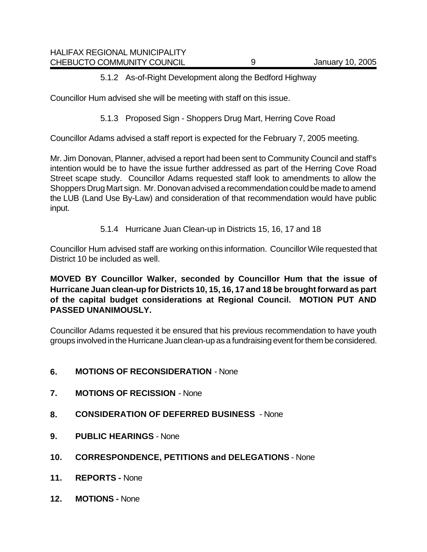## 5.1.2 As-of-Right Development along the Bedford Highway

Councillor Hum advised she will be meeting with staff on this issue.

5.1.3 Proposed Sign - Shoppers Drug Mart, Herring Cove Road

Councillor Adams advised a staff report is expected for the February 7, 2005 meeting.

Mr. Jim Donovan, Planner, advised a report had been sent to Community Council and staff's intention would be to have the issue further addressed as part of the Herring Cove Road Street scape study. Councillor Adams requested staff look to amendments to allow the Shoppers Drug Mart sign. Mr. Donovan advised a recommendation could be made to amend the LUB (Land Use By-Law) and consideration of that recommendation would have public input.

5.1.4 Hurricane Juan Clean-up in Districts 15, 16, 17 and 18

Councillor Hum advised staff are working on this information. Councillor Wile requested that District 10 be included as well.

**MOVED BY Councillor Walker, seconded by Councillor Hum that the issue of Hurricane Juan clean-up for Districts 10, 15, 16, 17 and 18 be brought forward as part of the capital budget considerations at Regional Council. MOTION PUT AND PASSED UNANIMOUSLY.** 

Councillor Adams requested it be ensured that his previous recommendation to have youth groups involved in the Hurricane Juan clean-up as a fundraising event for them be considered.

- **6. MOTIONS OF RECONSIDERATION** None
- **7. MOTIONS OF RECISSION** None
- **8. CONSIDERATION OF DEFERRED BUSINESS** None
- **9. PUBLIC HEARINGS** None
- **10. CORRESPONDENCE, PETITIONS and DELEGATIONS**  None
- **11. REPORTS** None
- **12. MOTIONS** None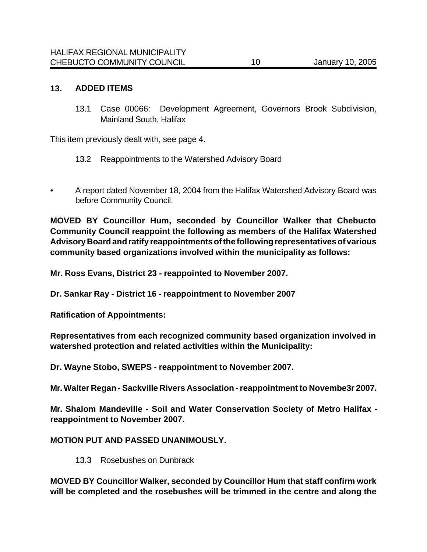#### **13. ADDED ITEMS**

13.1 Case 00066: Development Agreement, Governors Brook Subdivision, Mainland South, Halifax

This item previously dealt with, see page 4.

- 13.2 Reappointments to the Watershed Advisory Board
- *•* A report dated November 18, 2004 from the Halifax Watershed Advisory Board was before Community Council.

**MOVED BY Councillor Hum, seconded by Councillor Walker that Chebucto Community Council reappoint the following as members of the Halifax Watershed Advisory Board and ratify reappointments of the following representatives of various community based organizations involved within the municipality as follows:**

**Mr. Ross Evans, District 23 - reappointed to November 2007.**

**Dr. Sankar Ray - District 16 - reappointment to November 2007**

**Ratification of Appointments:**

**Representatives from each recognized community based organization involved in watershed protection and related activities within the Municipality:** 

**Dr. Wayne Stobo, SWEPS - reappointment to November 2007.**

**Mr. Walter Regan - Sackville Rivers Association - reappointment to Novembe3r 2007.**

**Mr. Shalom Mandeville - Soil and Water Conservation Society of Metro Halifax reappointment to November 2007.** 

#### **MOTION PUT AND PASSED UNANIMOUSLY.**

13.3 Rosebushes on Dunbrack

**MOVED BY Councillor Walker, seconded by Councillor Hum that staff confirm work will be completed and the rosebushes will be trimmed in the centre and along the**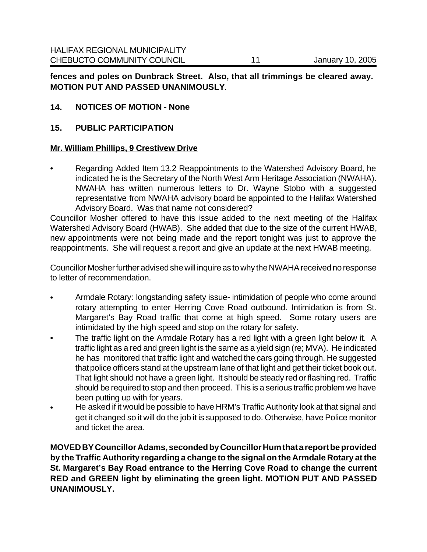**fences and poles on Dunbrack Street. Also, that all trimmings be cleared away. MOTION PUT AND PASSED UNANIMOUSLY**.

## **14. NOTICES OF MOTION - None**

#### **15. PUBLIC PARTICIPATION**

#### **Mr. William Phillips, 9 Crestivew Drive**

• Regarding Added Item 13.2 Reappointments to the Watershed Advisory Board, he indicated he is the Secretary of the North West Arm Heritage Association (NWAHA). NWAHA has written numerous letters to Dr. Wayne Stobo with a suggested representative from NWAHA advisory board be appointed to the Halifax Watershed Advisory Board. Was that name not considered?

Councillor Mosher offered to have this issue added to the next meeting of the Halifax Watershed Advisory Board (HWAB). She added that due to the size of the current HWAB, new appointments were not being made and the report tonight was just to approve the reappointments. She will request a report and give an update at the next HWAB meeting.

Councillor Mosher further advised she will inquire as to why the NWAHA received no response to letter of recommendation.

- Armdale Rotary: longstanding safety issue- intimidation of people who come around rotary attempting to enter Herring Cove Road outbound. Intimidation is from St. Margaret's Bay Road traffic that come at high speed. Some rotary users are intimidated by the high speed and stop on the rotary for safety.
- The traffic light on the Armdale Rotary has a red light with a green light below it. A traffic light as a red and green light is the same as a yield sign (re; MVA). He indicated he has monitored that traffic light and watched the cars going through. He suggested that police officers stand at the upstream lane of that light and get their ticket book out. That light should not have a green light. It should be steady red or flashing red. Traffic should be required to stop and then proceed. This is a serious traffic problem we have been putting up with for years.
- He asked if it would be possible to have HRM's Traffic Authority look at that signal and get it changed so it will do the job it is supposed to do. Otherwise, have Police monitor and ticket the area.

**MOVED BY Councillor Adams, seconded by Councillor Hum that a report be provided by the Traffic Authority regarding a change to the signal on the Armdale Rotary at the St. Margaret's Bay Road entrance to the Herring Cove Road to change the current RED and GREEN light by eliminating the green light. MOTION PUT AND PASSED UNANIMOUSLY.**